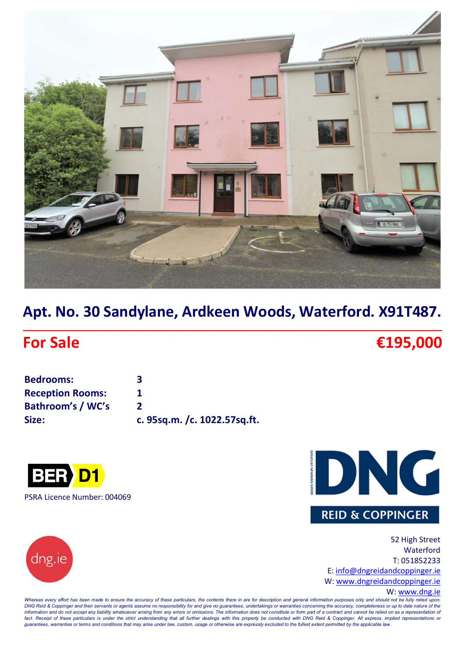

# **Apt. No. 30 Sandylane, Ardkeen Woods, Waterford. X91T487.**

**\_\_\_\_\_\_\_\_\_\_\_\_\_\_\_\_\_\_\_\_\_\_\_\_\_\_\_\_\_\_\_\_\_\_\_\_\_\_\_\_\_\_\_\_\_\_\_\_\_\_\_\_\_\_\_\_\_\_\_\_\_\_\_\_\_\_\_\_\_\_\_\_\_\_\_\_\_\_\_\_\_\_\_\_\_\_\_\_\_\_\_\_\_\_\_\_\_\_**

# **For Sale €195,000**

| <b>Bedrooms:</b>        | З                            |
|-------------------------|------------------------------|
| <b>Reception Rooms:</b> |                              |
| Bathroom's / WC's       |                              |
| Size:                   | c. 95sq.m. /c. 1022.57sq.ft. |



PSRA Licence Number: 004069



## **REID & COPPINGER**

dng.ie

52 High Street Waterford T: 051852233 E: [info@dngreidandcoppinger.ie](mailto:info@dngreidandcoppinger.ie) W: [www.dngreidandcoppinger.ie](http://www.dngreidandcoppinger.ie/)

W: [www.dng.ie](http://www.dng.ie/)

Whereas every effort has been made to ensure the accuracy of these particulars, the contents there in are for description and general information purposes only and should not be fully relied upon. *DNG Reid & Coppinger and their servants or agents assume no responsibility for and give no guarantees, undertakings or warranties concerning the accuracy, completeness or up to date nature of the information and do not accept any liability whatsoever arising from any errors or omissions. The information does not constitute or form part of a contract and cannot be relied on as a representation of*  fact. Receipt of these particulars is under the strict understanding that all further dealings with this property be conducted with DNG Reid & Coppinger. All express, implied representations or *guarantees, warranties or terms and conditions that may arise under law, custom, usage or otherwise are expressly excluded to the fullest extent permitted by the applicable law.*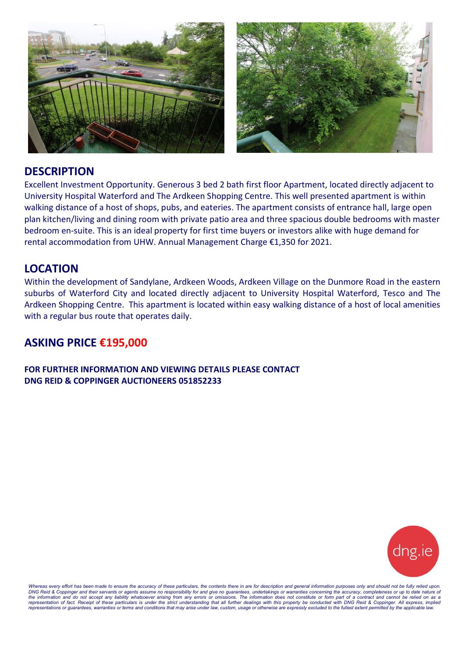

#### **DESCRIPTION**

Excellent Investment Opportunity. Generous 3 bed 2 bath first floor Apartment, located directly adjacent to University Hospital Waterford and The Ardkeen Shopping Centre. This well presented apartment is within walking distance of a host of shops, pubs, and eateries. The apartment consists of entrance hall, large open plan kitchen/living and dining room with private patio area and three spacious double bedrooms with master bedroom en-suite. This is an ideal property for first time buyers or investors alike with huge demand for rental accommodation from UHW. Annual Management Charge €1,350 for 2021.

#### **LOCATION**

Within the development of Sandylane, Ardkeen Woods, Ardkeen Village on the Dunmore Road in the eastern suburbs of Waterford City and located directly adjacent to University Hospital Waterford, Tesco and The Ardkeen Shopping Centre. This apartment is located within easy walking distance of a host of local amenities with a regular bus route that operates daily.

### **ASKING PRICE €195,000**

**FOR FURTHER INFORMATION AND VIEWING DETAILS PLEASE CONTACT DNG REID & COPPINGER AUCTIONEERS 051852233**



Whereas every effort has been made to ensure the accuracy of these particulars, the contents there in are for description and general information purposes only and should not be fully relied upon *DNG Reid & Coppinger and their servants or agents assume no responsibility for and give no guarantees, undertakings or warranties concerning the accuracy, completeness or up to date nature of* the information and do not accept any liability whatsoever arising from any errors or omissions. The information does not constitute or form part of a contract and cannot be relied on as a<br>representation of fact. Receipt o *representations or guarantees, warranties or terms and conditions that may arise under law, custom, usage or otherwise are expressly excluded to the fullest extent permitted by the applicable law.*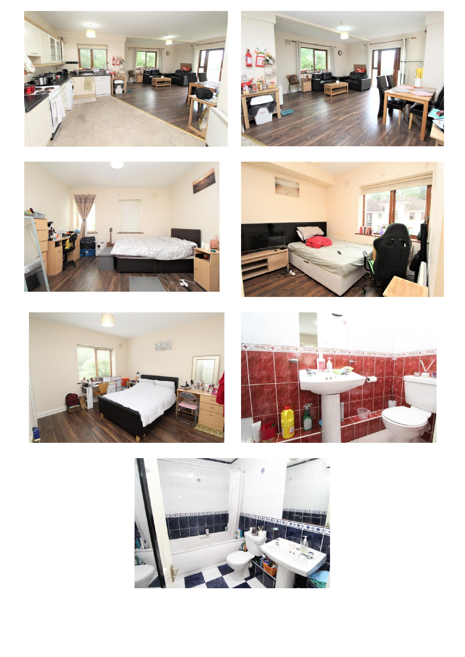